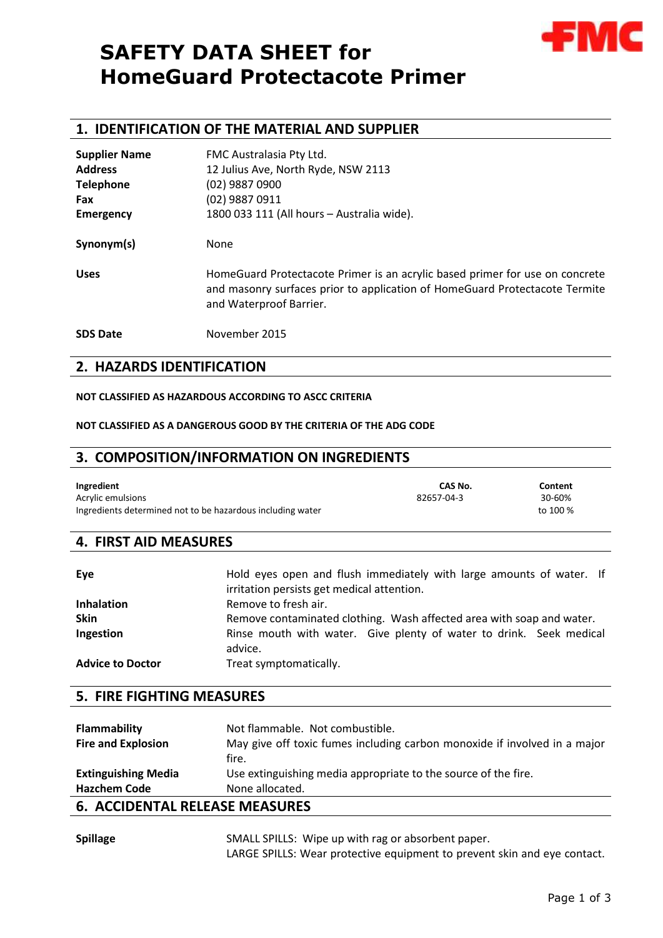# **SAFETY DATA SHEET for HomeGuard Protectacote Primer**



# **1. IDENTIFICATION OF THE MATERIAL AND SUPPLIER**

| <b>Supplier Name</b> | FMC Australasia Pty Ltd.                                                                                                                                                               |  |  |  |  |
|----------------------|----------------------------------------------------------------------------------------------------------------------------------------------------------------------------------------|--|--|--|--|
| <b>Address</b>       | 12 Julius Ave, North Ryde, NSW 2113                                                                                                                                                    |  |  |  |  |
| <b>Telephone</b>     | (02) 9887 0900                                                                                                                                                                         |  |  |  |  |
| <b>Fax</b>           | (02) 9887 0911                                                                                                                                                                         |  |  |  |  |
| <b>Emergency</b>     | 1800 033 111 (All hours - Australia wide).                                                                                                                                             |  |  |  |  |
| Synonym(s)           | None                                                                                                                                                                                   |  |  |  |  |
| <b>Uses</b>          | HomeGuard Protectacote Primer is an acrylic based primer for use on concrete<br>and masonry surfaces prior to application of HomeGuard Protectacote Termite<br>and Waterproof Barrier. |  |  |  |  |
| <b>SDS Date</b>      | November 2015                                                                                                                                                                          |  |  |  |  |

# **2. HAZARDS IDENTIFICATION**

#### **NOT CLASSIFIED AS HAZARDOUS ACCORDING TO ASCC CRITERIA**

#### **NOT CLASSIFIED AS A DANGEROUS GOOD BY THE CRITERIA OF THE ADG CODE**

## **3. COMPOSITION/INFORMATION ON INGREDIENTS**

| Ingredient                                                 | CAS No.    | Content  |
|------------------------------------------------------------|------------|----------|
| Acrylic emulsions                                          | 82657-04-3 | 30-60%   |
| Ingredients determined not to be hazardous including water |            | to 100 % |

# **4. FIRST AID MEASURES**

| Eye                     | Hold eyes open and flush immediately with large amounts of water. If<br>irritation persists get medical attention. |  |  |  |  |  |
|-------------------------|--------------------------------------------------------------------------------------------------------------------|--|--|--|--|--|
| <b>Inhalation</b>       | Remove to fresh air.                                                                                               |  |  |  |  |  |
| <b>Skin</b>             | Remove contaminated clothing. Wash affected area with soap and water.                                              |  |  |  |  |  |
| Ingestion               | Rinse mouth with water. Give plenty of water to drink. Seek medical<br>advice.                                     |  |  |  |  |  |
| <b>Advice to Doctor</b> | Treat symptomatically.                                                                                             |  |  |  |  |  |

# **5. FIRE FIGHTING MEASURES**

| Flammability                          | Not flammable. Not combustible.                                           |  |
|---------------------------------------|---------------------------------------------------------------------------|--|
| <b>Fire and Explosion</b>             | May give off toxic fumes including carbon monoxide if involved in a major |  |
|                                       | fire.                                                                     |  |
| <b>Extinguishing Media</b>            | Use extinguishing media appropriate to the source of the fire.            |  |
| <b>Hazchem Code</b>                   | None allocated.                                                           |  |
| <b>6. ACCIDENTAL RELEASE MEASURES</b> |                                                                           |  |

| <b>Spillage</b> | SMALL SPILLS: Wipe up with rag or absorbent paper.                       |
|-----------------|--------------------------------------------------------------------------|
|                 | LARGE SPILLS: Wear protective equipment to prevent skin and eye contact. |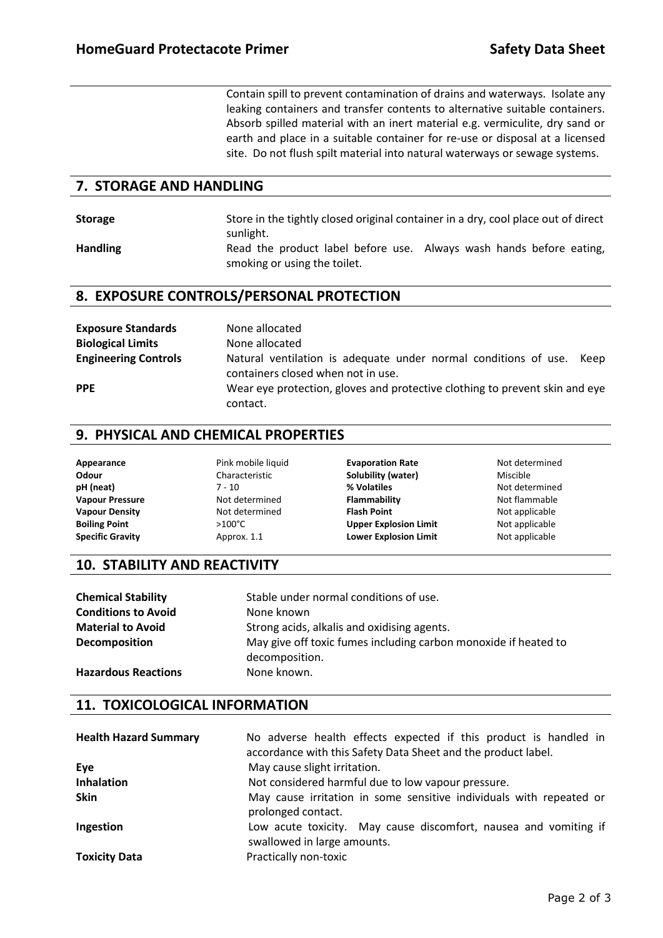Contain spill to prevent contamination of drains and waterways. Isolate any leaking containers and transfer contents to alternative suitable containers. Absorb spilled material with an inert material e.g. vermiculite, dry sand or earth and place in a suitable container for re-use or disposal at a licensed site. Do not flush spilt material into natural waterways or sewage systems.

# **7. STORAGE AND HANDLING**

| <b>Storage</b>  | Store in the tightly closed original container in a dry, cool place out of direct                   |  |  |  |  |
|-----------------|-----------------------------------------------------------------------------------------------------|--|--|--|--|
|                 | sunlight.                                                                                           |  |  |  |  |
| <b>Handling</b> | Read the product label before use. Always wash hands before eating,<br>smoking or using the toilet. |  |  |  |  |

# **8. EXPOSURE CONTROLS/PERSONAL PROTECTION**

| <b>Exposure Standards</b>   | None allocated                                                                                                |
|-----------------------------|---------------------------------------------------------------------------------------------------------------|
| <b>Biological Limits</b>    | None allocated                                                                                                |
| <b>Engineering Controls</b> | Natural ventilation is adequate under normal conditions of use.<br>Keep<br>containers closed when not in use. |
| <b>PPE</b>                  | Wear eye protection, gloves and protective clothing to prevent skin and eye<br>contact.                       |

# **9. PHYSICAL AND CHEMICAL PROPERTIES**

| Appearance              | Pink mobile liquid | <b>Evaporation Rate</b>      | Not determined |
|-------------------------|--------------------|------------------------------|----------------|
| Odour                   | Characteristic     | Solubility (water)           | Miscible       |
| pH (neat)               | 7 - 10             | % Volatiles                  | Not determined |
| <b>Vapour Pressure</b>  | Not determined     | Flammability                 | Not flammable  |
| <b>Vapour Density</b>   | Not determined     | <b>Flash Point</b>           | Not applicable |
| <b>Boiling Point</b>    | $>100^{\circ}$ C   | <b>Upper Explosion Limit</b> | Not applicable |
| <b>Specific Gravity</b> | Approx. 1.1        | <b>Lower Explosion Limit</b> | Not applicable |

## **10. STABILITY AND REACTIVITY**

| <b>Chemical Stability</b>  | Stable under normal conditions of use.                                            |  |  |  |
|----------------------------|-----------------------------------------------------------------------------------|--|--|--|
| <b>Conditions to Avoid</b> | None known                                                                        |  |  |  |
| <b>Material to Avoid</b>   | Strong acids, alkalis and oxidising agents.                                       |  |  |  |
| <b>Decomposition</b>       | May give off toxic fumes including carbon monoxide if heated to<br>decomposition. |  |  |  |
| <b>Hazardous Reactions</b> | None known.                                                                       |  |  |  |

# **11. TOXICOLOGICAL INFORMATION**

| <b>Health Hazard Summary</b> | No adverse health effects expected if this product is handled in<br>accordance with this Safety Data Sheet and the product label. |  |  |  |
|------------------------------|-----------------------------------------------------------------------------------------------------------------------------------|--|--|--|
| Eye                          | May cause slight irritation.                                                                                                      |  |  |  |
| <b>Inhalation</b>            | Not considered harmful due to low vapour pressure.                                                                                |  |  |  |
| Skin                         | May cause irritation in some sensitive individuals with repeated or<br>prolonged contact.                                         |  |  |  |
| Ingestion                    | Low acute toxicity. May cause discomfort, nausea and vomiting if<br>swallowed in large amounts.                                   |  |  |  |
| <b>Toxicity Data</b>         | Practically non-toxic                                                                                                             |  |  |  |